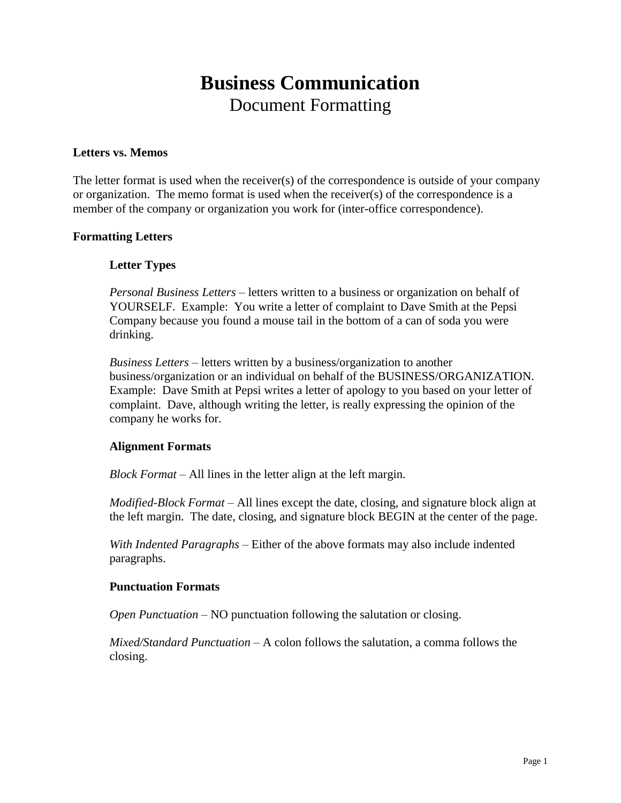## **Business Communication** Document Formatting

### **Letters vs. Memos**

The letter format is used when the receiver(s) of the correspondence is outside of your company or organization. The memo format is used when the receiver(s) of the correspondence is a member of the company or organization you work for (inter-office correspondence).

### **Formatting Letters**

### **Letter Types**

*Personal Business Letters* – letters written to a business or organization on behalf of YOURSELF. Example: You write a letter of complaint to Dave Smith at the Pepsi Company because you found a mouse tail in the bottom of a can of soda you were drinking.

*Business Letters* – letters written by a business/organization to another business/organization or an individual on behalf of the BUSINESS/ORGANIZATION. Example: Dave Smith at Pepsi writes a letter of apology to you based on your letter of complaint. Dave, although writing the letter, is really expressing the opinion of the company he works for.

### **Alignment Formats**

*Block Format* – All lines in the letter align at the left margin.

*Modified-Block Format* – All lines except the date, closing, and signature block align at the left margin. The date, closing, and signature block BEGIN at the center of the page.

*With Indented Paragraphs* – Either of the above formats may also include indented paragraphs.

#### **Punctuation Formats**

*Open Punctuation* – NO punctuation following the salutation or closing.

*Mixed/Standard Punctuation* – A colon follows the salutation, a comma follows the closing.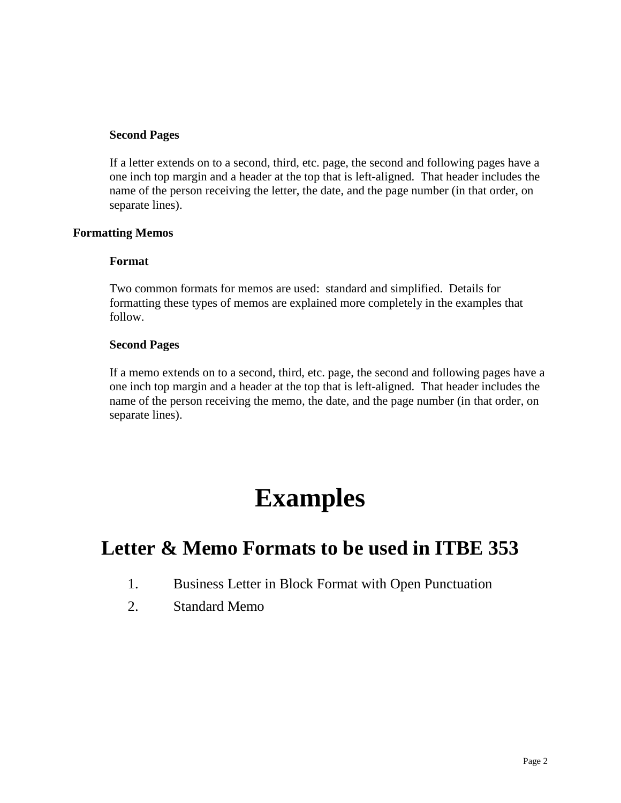### **Second Pages**

If a letter extends on to a second, third, etc. page, the second and following pages have a one inch top margin and a header at the top that is left-aligned. That header includes the name of the person receiving the letter, the date, and the page number (in that order, on separate lines).

### **Formatting Memos**

### **Format**

Two common formats for memos are used: standard and simplified. Details for formatting these types of memos are explained more completely in the examples that follow.

### **Second Pages**

If a memo extends on to a second, third, etc. page, the second and following pages have a one inch top margin and a header at the top that is left-aligned. That header includes the name of the person receiving the memo, the date, and the page number (in that order, on separate lines).

## **Examples**

## **Letter & Memo Formats to be used in ITBE 353**

- 1. Business Letter in Block Format with Open Punctuation
- 2. Standard Memo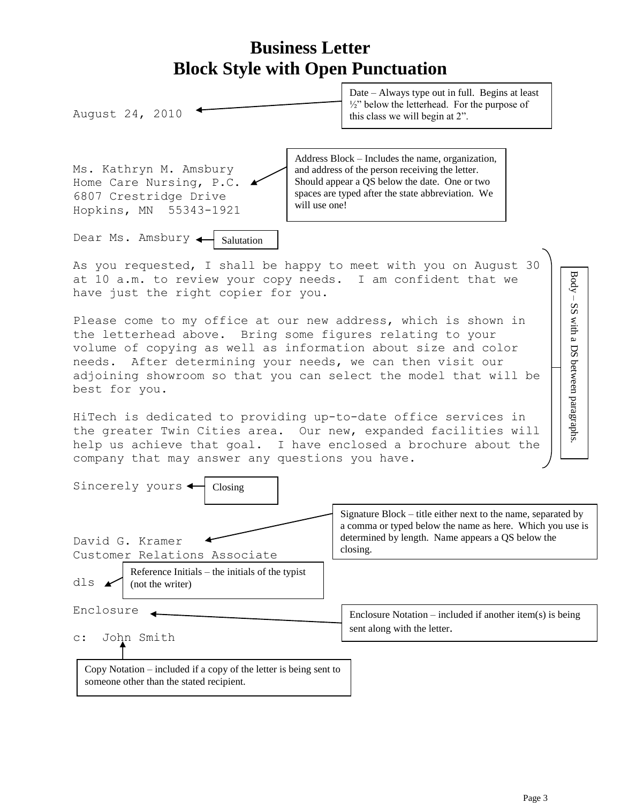

Copy Notation – included if a copy of the letter is being sent to someone other than the stated recipient.

Page 3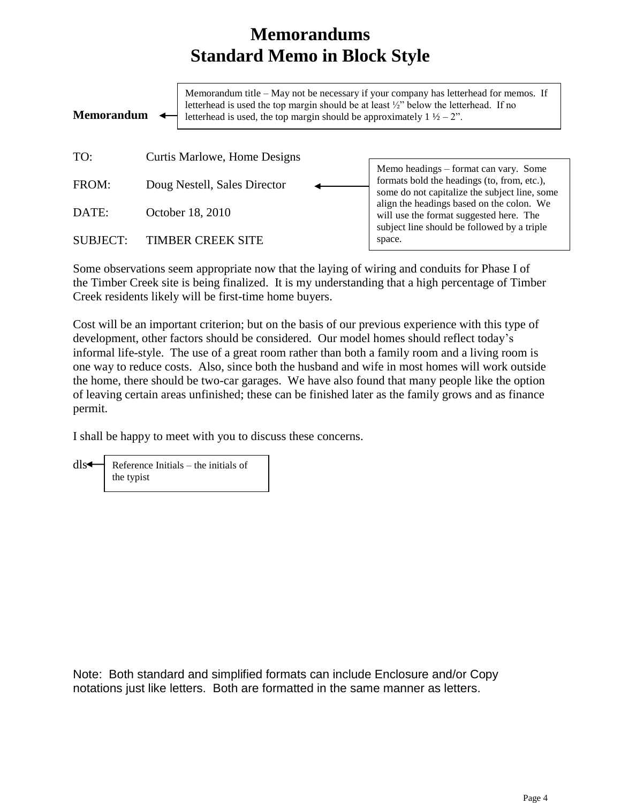## **Memorandums Standard Memo in Block Style**

| letterhead is used the top margin should be at least $\frac{1}{2}$ below the letterhead. If no<br><b>Memorandum</b><br>letterhead is used, the top margin should be approximately $1 \frac{1}{2} - 2$ ". |                              | Memorandum title – May not be necessary if your company has letterhead for memos. If                                                  |
|----------------------------------------------------------------------------------------------------------------------------------------------------------------------------------------------------------|------------------------------|---------------------------------------------------------------------------------------------------------------------------------------|
| TO:                                                                                                                                                                                                      | Curtis Marlowe, Home Designs |                                                                                                                                       |
| FROM:                                                                                                                                                                                                    | Doug Nestell, Sales Director | Memo headings – format can vary. Some<br>formats bold the headings (to, from, etc.),<br>some do not capitalize the subject line, some |
| DATE:                                                                                                                                                                                                    | October 18, 2010             | align the headings based on the colon. We<br>will use the format suggested here. The<br>subject line should be followed by a triple   |
| SUBJECT:                                                                                                                                                                                                 | <b>TIMBER CREEK SITE</b>     | space.                                                                                                                                |

Some observations seem appropriate now that the laying of wiring and conduits for Phase I of the Timber Creek site is being finalized. It is my understanding that a high percentage of Timber Creek residents likely will be first-time home buyers.

Cost will be an important criterion; but on the basis of our previous experience with this type of development, other factors should be considered. Our model homes should reflect today's informal life-style. The use of a great room rather than both a family room and a living room is one way to reduce costs. Also, since both the husband and wife in most homes will work outside the home, there should be two-car garages. We have also found that many people like the option of leaving certain areas unfinished; these can be finished later as the family grows and as finance permit.

I shall be happy to meet with you to discuss these concerns.

dls Reference Initials – the initials of the typist

Note: Both standard and simplified formats can include Enclosure and/or Copy notations just like letters. Both are formatted in the same manner as letters.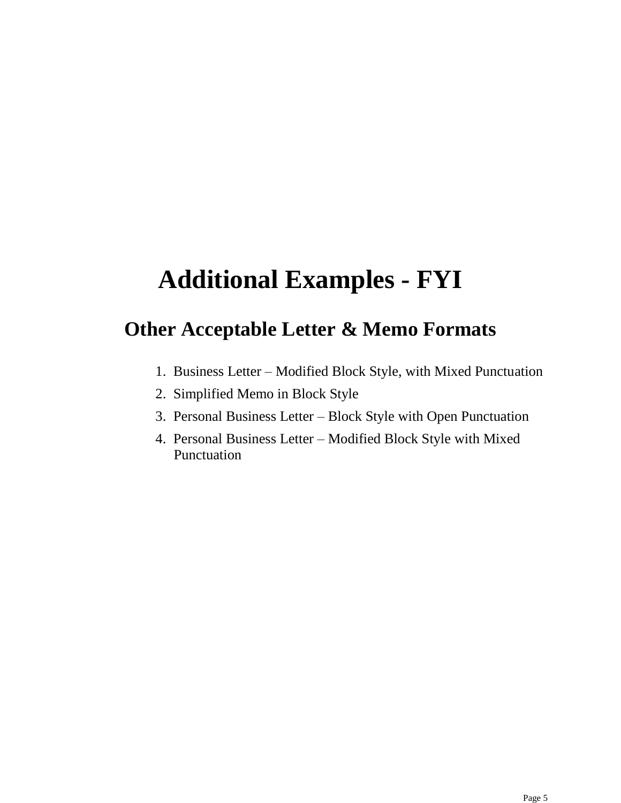# **Additional Examples - FYI**

## **Other Acceptable Letter & Memo Formats**

- 1. Business Letter Modified Block Style, with Mixed Punctuation
- 2. Simplified Memo in Block Style
- 3. Personal Business Letter Block Style with Open Punctuation
- 4. Personal Business Letter Modified Block Style with Mixed Punctuation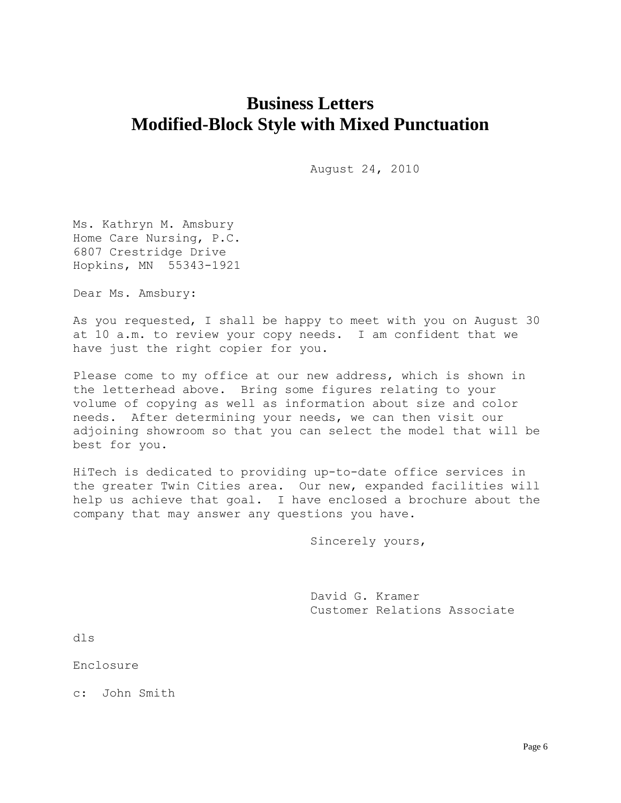## **Business Letters Modified-Block Style with Mixed Punctuation**

August 24, 2010

Ms. Kathryn M. Amsbury Home Care Nursing, P.C. 6807 Crestridge Drive Hopkins, MN 55343-1921

Dear Ms. Amsbury:

As you requested, I shall be happy to meet with you on August 30 at 10 a.m. to review your copy needs. I am confident that we have just the right copier for you.

Please come to my office at our new address, which is shown in the letterhead above. Bring some figures relating to your volume of copying as well as information about size and color needs. After determining your needs, we can then visit our adjoining showroom so that you can select the model that will be best for you.

HiTech is dedicated to providing up-to-date office services in the greater Twin Cities area. Our new, expanded facilities will help us achieve that goal. I have enclosed a brochure about the company that may answer any questions you have.

Sincerely yours,

David G. Kramer Customer Relations Associate

dls

Enclosure

c: John Smith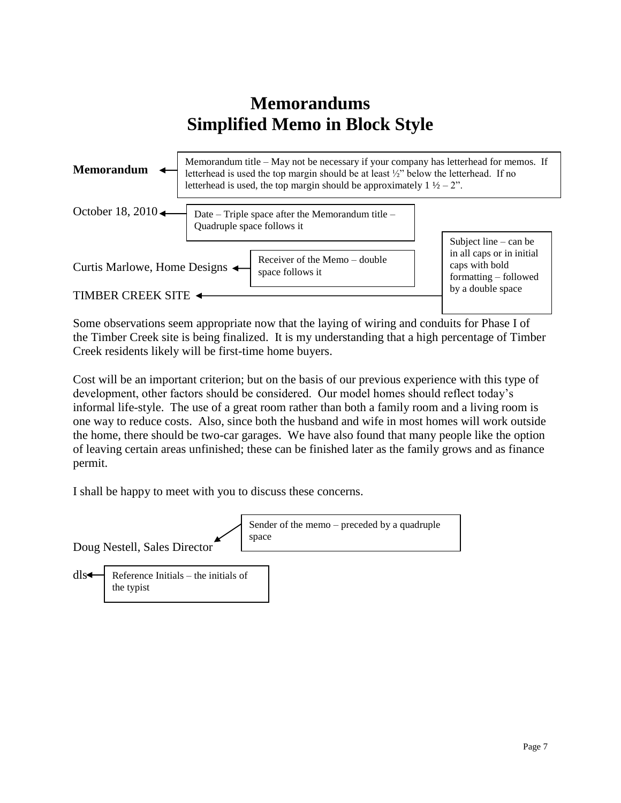## **Memorandums Simplified Memo in Block Style**



Some observations seem appropriate now that the laying of wiring and conduits for Phase I of the Timber Creek site is being finalized. It is my understanding that a high percentage of Timber Creek residents likely will be first-time home buyers.

Cost will be an important criterion; but on the basis of our previous experience with this type of development, other factors should be considered. Our model homes should reflect today's informal life-style. The use of a great room rather than both a family room and a living room is one way to reduce costs. Also, since both the husband and wife in most homes will work outside the home, there should be two-car garages. We have also found that many people like the option of leaving certain areas unfinished; these can be finished later as the family grows and as finance permit.

I shall be happy to meet with you to discuss these concerns.

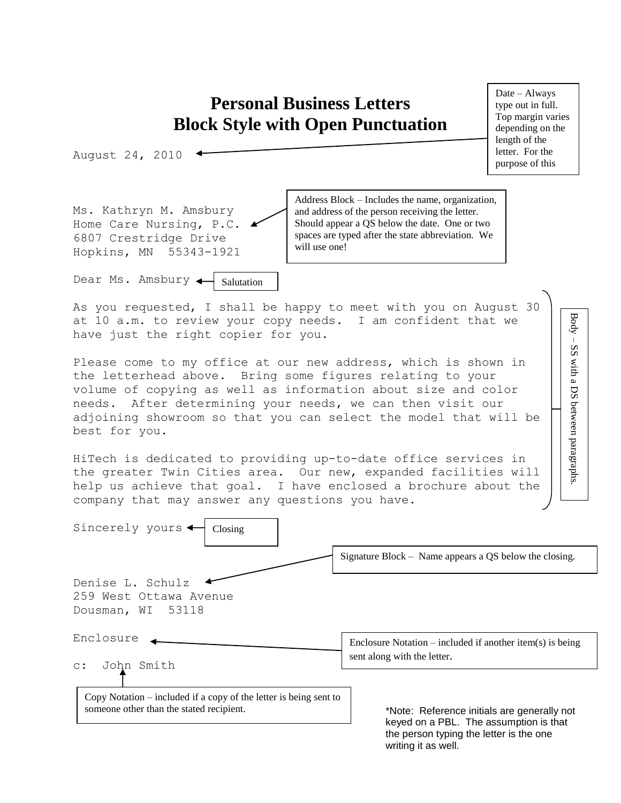## **Personal Business Letters Block Style with Open Punctuation**

August 24, 2010

Ms. Kathryn M. Amsbury Home Care Nursing, P.C. 6807 Crestridge Drive Hopkins, MN 55343-1921

Dear Ms. Amsbury Salutation

Address Block – Includes the name, organization, and address of the person receiving the letter. Should appear a QS below the date. One or two spaces are typed after the state abbreviation. We will use one!

As you requested, I shall be happy to meet with you on August 30 at 10 a.m. to review your copy needs. I am confident that we have just the right copier for you.

Please come to my office at our new address, which is shown in the letterhead above. Bring some figures relating to your volume of copying as well as information about size and color needs. After determining your needs, we can then visit our adjoining showroom so that you can select the model that will be best for you.

HiTech is dedicated to providing up-to-date office services in the greater Twin Cities area. Our new, expanded facilities will help us achieve that goal. I have enclosed a brochure about the company that may answer any questions you have.



Date – Always type out in full. Top margin varies depending on the length of the letter. For the purpose of this

<u>class we will be will be will</u> begin at 1.5"

> Body – SS with a DS between paragraphs.